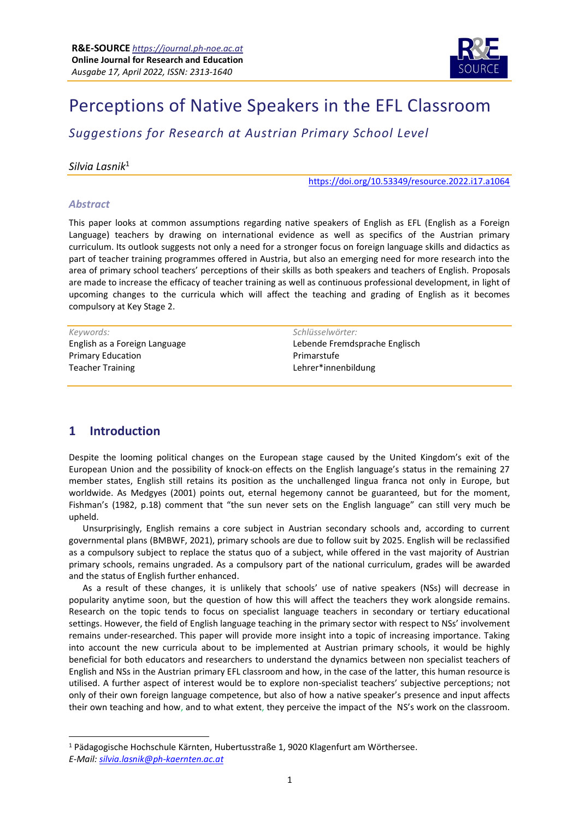

# Perceptions of Native Speakers in the EFL Classroom

*Suggestions for Research at Austrian Primary School Level*

#### *Silvia Lasnik*<sup>1</sup>

<https://doi.org/10.53349/resource.2022.i17.a1064>

#### *Abstract*

This paper looks at common assumptions regarding native speakers of English as EFL (English as a Foreign Language) teachers by drawing on international evidence as well as specifics of the Austrian primary curriculum. Its outlook suggests not only a need for a stronger focus on foreign language skills and didactics as part of teacher training programmes offered in Austria, but also an emerging need for more research into the area of primary school teachers' perceptions of their skills as both speakers and teachers of English. Proposals are made to increase the efficacy of teacher training as well as continuous professional development, in light of upcoming changes to the curricula which will affect the teaching and grading of English as it becomes compulsory at Key Stage 2.

*Keywords: Schlüsselwörter:* Primary Education Teacher Training

English as a Foreign Language Lebende Fremdsprache Englisch Primarstufe Lehrer\*innenbildung

## **1 Introduction**

Despite the looming political changes on the European stage caused by the United Kingdom's exit of the European Union and the possibility of knock-on effects on the English language's status in the remaining 27 member states, English still retains its position as the unchallenged lingua franca not only in Europe, but worldwide. As Medgyes (2001) points out, eternal hegemony cannot be guaranteed, but for the moment, Fishman's (1982, p.18) comment that "the sun never sets on the English language" can still very much be upheld.

Unsurprisingly, English remains a core subject in Austrian secondary schools and, according to current governmental plans (BMBWF, 2021), primary schools are due to follow suit by 2025. English will be reclassified as a compulsory subject to replace the status quo of a subject, while offered in the vast majority of Austrian primary schools, remains ungraded. As a compulsory part of the national curriculum, grades will be awarded and the status of English further enhanced.

As a result of these changes, it is unlikely that schools' use of native speakers (NSs) will decrease in popularity anytime soon, but the question of how this will affect the teachers they work alongside remains. Research on the topic tends to focus on specialist language teachers in secondary or tertiary educational settings. However, the field of English language teaching in the primary sector with respect to NSs' involvement remains under-researched. This paper will provide more insight into a topic of increasing importance. Taking into account the new curricula about to be implemented at Austrian primary schools, it would be highly beneficial for both educators and researchers to understand the dynamics between non specialist teachers of English and NSs in the Austrian primary EFL classroom and how, in the case of the latter, this human resource is utilised. A further aspect of interest would be to explore non-specialist teachers' subjective perceptions; not only of their own foreign language competence, but also of how a native speaker's presence and input affects their own teaching and how, and to what extent, they perceive the impact of the NS's work on the classroom.

<sup>1</sup> Pädagogische Hochschule Kärnten, Hubertusstraße 1, 9020 Klagenfurt am Wörthersee. *E-Mail: [silvia.lasnik@ph-kaernten.ac.at](mailto:silvia.lasnik@ph-kaernten.ac.at)*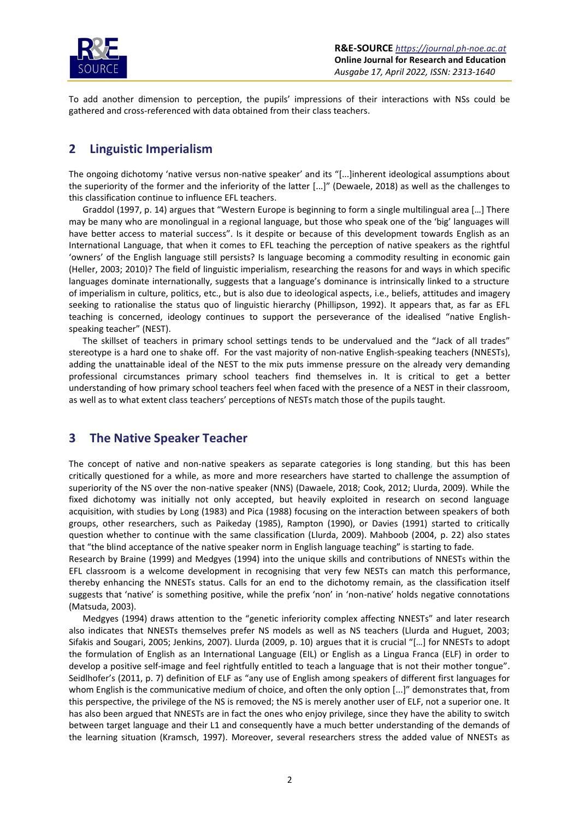

To add another dimension to perception, the pupils' impressions of their interactions with NSs could be gathered and cross-referenced with data obtained from their class teachers.

## **2 Linguistic Imperialism**

The ongoing dichotomy 'native versus non-native speaker' and its "[...]inherent ideological assumptions about the superiority of the former and the inferiority of the latter [...]" (Dewaele, 2018) as well as the challenges to this classification continue to influence EFL teachers.

Graddol (1997, p. 14) argues that "Western Europe is beginning to form a single multilingual area […] There may be many who are monolingual in a regional language, but those who speak one of the 'big' languages will have better access to material success". Is it despite or because of this development towards English as an International Language, that when it comes to EFL teaching the perception of native speakers as the rightful 'owners' of the English language still persists? Is language becoming a commodity resulting in economic gain (Heller, 2003; 2010)? The field of linguistic imperialism, researching the reasons for and ways in which specific languages dominate internationally, suggests that a language's dominance is intrinsically linked to a structure of imperialism in culture, politics, etc., but is also due to ideological aspects, i.e., beliefs, attitudes and imagery seeking to rationalise the status quo of linguistic hierarchy (Phillipson, 1992). It appears that, as far as EFL teaching is concerned, ideology continues to support the perseverance of the idealised "native Englishspeaking teacher" (NEST).

The skillset of teachers in primary school settings tends to be undervalued and the "Jack of all trades" stereotype is a hard one to shake off. For the vast majority of non-native English-speaking teachers (NNESTs), adding the unattainable ideal of the NEST to the mix puts immense pressure on the already very demanding professional circumstances primary school teachers find themselves in. It is critical to get a better understanding of how primary school teachers feel when faced with the presence of a NEST in their classroom, as well as to what extent class teachers' perceptions of NESTs match those of the pupils taught.

## **3 The Native Speaker Teacher**

The concept of native and non-native speakers as separate categories is long standing, but this has been critically questioned for a while, as more and more researchers have started to challenge the assumption of superiority of the NS over the non-native speaker (NNS) (Dawaele, 2018; Cook, 2012; Llurda, 2009). While the fixed dichotomy was initially not only accepted, but heavily exploited in research on second language acquisition, with studies by Long (1983) and Pica (1988) focusing on the interaction between speakers of both groups, other researchers, such as Paikeday (1985), Rampton (1990), or Davies (1991) started to critically question whether to continue with the same classification (Llurda, 2009). Mahboob (2004, p. 22) also states that "the blind acceptance of the native speaker norm in English language teaching" is starting to fade.

Research by Braine (1999) and Medgyes (1994) into the unique skills and contributions of NNESTs within the EFL classroom is a welcome development in recognising that very few NESTs can match this performance, thereby enhancing the NNESTs status. Calls for an end to the dichotomy remain, as the classification itself suggests that 'native' is something positive, while the prefix 'non' in 'non-native' holds negative connotations (Matsuda, 2003).

Medgyes (1994) draws attention to the "genetic inferiority complex affecting NNESTs" and later research also indicates that NNESTs themselves prefer NS models as well as NS teachers (Llurda and Huguet, 2003; Sifakis and Sougari, 2005; Jenkins, 2007). Llurda (2009, p. 10) argues that it is crucial "[…] for NNESTs to adopt the formulation of English as an International Language (EIL) or English as a Lingua Franca (ELF) in order to develop a positive self-image and feel rightfully entitled to teach a language that is not their mother tongue". Seidlhofer's (2011, p. 7) definition of ELF as "any use of English among speakers of different first languages for whom English is the communicative medium of choice, and often the only option [...]" demonstrates that, from this perspective, the privilege of the NS is removed; the NS is merely another user of ELF, not a superior one. It has also been argued that NNESTs are in fact the ones who enjoy privilege, since they have the ability to switch between target language and their L1 and consequently have a much better understanding of the demands of the learning situation (Kramsch, 1997). Moreover, several researchers stress the added value of NNESTs as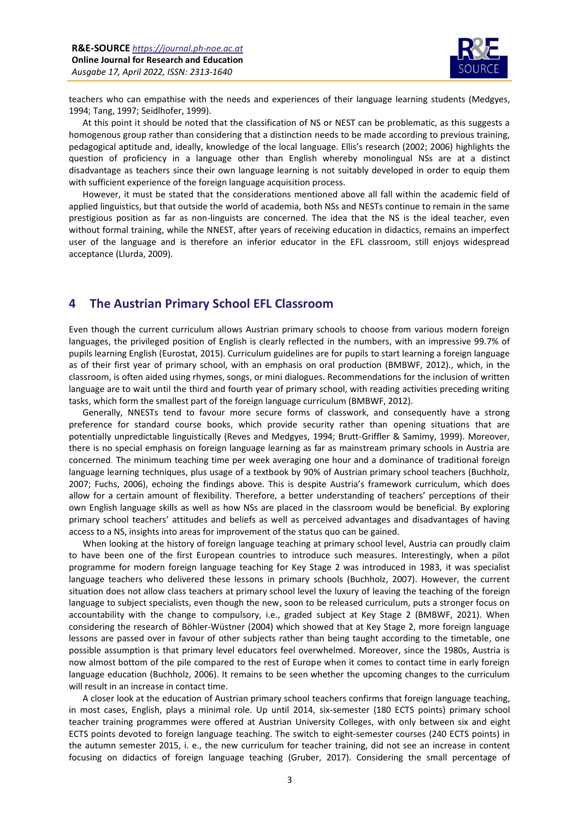

teachers who can empathise with the needs and experiences of their language learning students (Medgyes, 1994; Tang, 1997; Seidlhofer, 1999).

At this point it should be noted that the classification of NS or NEST can be problematic, as this suggests a homogenous group rather than considering that a distinction needs to be made according to previous training, pedagogical aptitude and, ideally, knowledge of the local language. Ellis's research (2002; 2006) highlights the question of proficiency in a language other than English whereby monolingual NSs are at a distinct disadvantage as teachers since their own language learning is not suitably developed in order to equip them with sufficient experience of the foreign language acquisition process.

However, it must be stated that the considerations mentioned above all fall within the academic field of applied linguistics, but that outside the world of academia, both NSs and NESTs continue to remain in the same prestigious position as far as non-linguists are concerned. The idea that the NS is the ideal teacher, even without formal training, while the NNEST, after years of receiving education in didactics, remains an imperfect user of the language and is therefore an inferior educator in the EFL classroom, still enjoys widespread acceptance (Llurda, 2009).

## **4 The Austrian Primary School EFL Classroom**

Even though the current curriculum allows Austrian primary schools to choose from various modern foreign languages, the privileged position of English is clearly reflected in the numbers, with an impressive 99.7% of pupils learning English (Eurostat, 2015). Curriculum guidelines are for pupils to start learning a foreign language as of their first year of primary school, with an emphasis on oral production (BMBWF, 2012)., which, in the classroom, is often aided using rhymes, songs, or mini dialogues. Recommendations for the inclusion of written language are to wait until the third and fourth year of primary school, with reading activities preceding writing tasks, which form the smallest part of the foreign language curriculum (BMBWF, 2012).

Generally, NNESTs tend to favour more secure forms of classwork, and consequently have a strong preference for standard course books, which provide security rather than opening situations that are potentially unpredictable linguistically (Reves and Medgyes, 1994; Brutt-Griffler & Samimy, 1999). Moreover, there is no special emphasis on foreign language learning as far as mainstream primary schools in Austria are concerned. The minimum teaching time per week averaging one hour and a dominance of traditional foreign language learning techniques, plus usage of a textbook by 90% of Austrian primary school teachers (Buchholz, 2007; Fuchs, 2006), echoing the findings above. This is despite Austria's framework curriculum, which does allow for a certain amount of flexibility. Therefore, a better understanding of teachers' perceptions of their own English language skills as well as how NSs are placed in the classroom would be beneficial. By exploring primary school teachers' attitudes and beliefs as well as perceived advantages and disadvantages of having access to a NS, insights into areas for improvement of the status quo can be gained.

When looking at the history of foreign language teaching at primary school level, Austria can proudly claim to have been one of the first European countries to introduce such measures. Interestingly, when a pilot programme for modern foreign language teaching for Key Stage 2 was introduced in 1983, it was specialist language teachers who delivered these lessons in primary schools (Buchholz, 2007). However, the current situation does not allow class teachers at primary school level the luxury of leaving the teaching of the foreign language to subject specialists, even though the new, soon to be released curriculum, puts a stronger focus on accountability with the change to compulsory, i.e., graded subject at Key Stage 2 (BMBWF, 2021). When considering the research of Böhler-Wüstner (2004) which showed that at Key Stage 2, more foreign language lessons are passed over in favour of other subjects rather than being taught according to the timetable, one possible assumption is that primary level educators feel overwhelmed. Moreover, since the 1980s, Austria is now almost bottom of the pile compared to the rest of Europe when it comes to contact time in early foreign language education (Buchholz, 2006). It remains to be seen whether the upcoming changes to the curriculum will result in an increase in contact time.

A closer look at the education of Austrian primary school teachers confirms that foreign language teaching, in most cases, English, plays a minimal role. Up until 2014, six-semester (180 ECTS points) primary school teacher training programmes were offered at Austrian University Colleges, with only between six and eight ECTS points devoted to foreign language teaching. The switch to eight-semester courses (240 ECTS points) in the autumn semester 2015, i. e., the new curriculum for teacher training, did not see an increase in content focusing on didactics of foreign language teaching (Gruber, 2017). Considering the small percentage of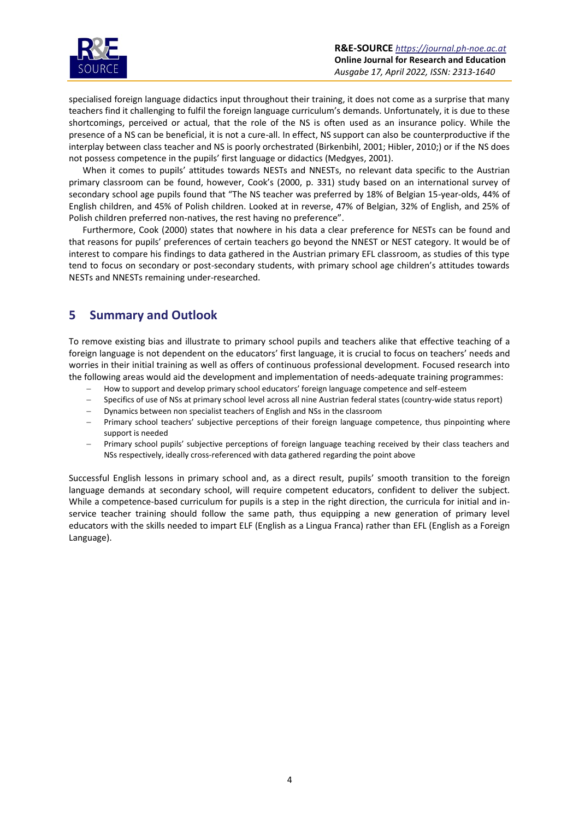

specialised foreign language didactics input throughout their training, it does not come as a surprise that many teachers find it challenging to fulfil the foreign language curriculum's demands. Unfortunately, it is due to these shortcomings, perceived or actual, that the role of the NS is often used as an insurance policy. While the presence of a NS can be beneficial, it is not a cure-all. In effect, NS support can also be counterproductive if the interplay between class teacher and NS is poorly orchestrated (Birkenbihl, 2001; Hibler, 2010;) or if the NS does not possess competence in the pupils' first language or didactics (Medgyes, 2001).

When it comes to pupils' attitudes towards NESTs and NNESTs, no relevant data specific to the Austrian primary classroom can be found, however, Cook's (2000, p. 331) study based on an international survey of secondary school age pupils found that "The NS teacher was preferred by 18% of Belgian 15-year-olds, 44% of English children, and 45% of Polish children. Looked at in reverse, 47% of Belgian, 32% of English, and 25% of Polish children preferred non-natives, the rest having no preference".

Furthermore, Cook (2000) states that nowhere in his data a clear preference for NESTs can be found and that reasons for pupils' preferences of certain teachers go beyond the NNEST or NEST category. It would be of interest to compare his findings to data gathered in the Austrian primary EFL classroom, as studies of this type tend to focus on secondary or post-secondary students, with primary school age children's attitudes towards NESTs and NNESTs remaining under-researched.

# **5 Summary and Outlook**

To remove existing bias and illustrate to primary school pupils and teachers alike that effective teaching of a foreign language is not dependent on the educators' first language, it is crucial to focus on teachers' needs and worries in their initial training as well as offers of continuous professional development. Focused research into the following areas would aid the development and implementation of needs-adequate training programmes:

- − How to support and develop primary school educators' foreign language competence and self-esteem
- − Specifics of use of NSs at primary school level across all nine Austrian federal states (country-wide status report)
- − Dynamics between non specialist teachers of English and NSs in the classroom
- − Primary school teachers' subjective perceptions of their foreign language competence, thus pinpointing where support is needed
- Primary school pupils' subjective perceptions of foreign language teaching received by their class teachers and NSs respectively, ideally cross-referenced with data gathered regarding the point above

Successful English lessons in primary school and, as a direct result, pupils' smooth transition to the foreign language demands at secondary school, will require competent educators, confident to deliver the subject. While a competence-based curriculum for pupils is a step in the right direction, the curricula for initial and inservice teacher training should follow the same path, thus equipping a new generation of primary level educators with the skills needed to impart ELF (English as a Lingua Franca) rather than EFL (English as a Foreign Language).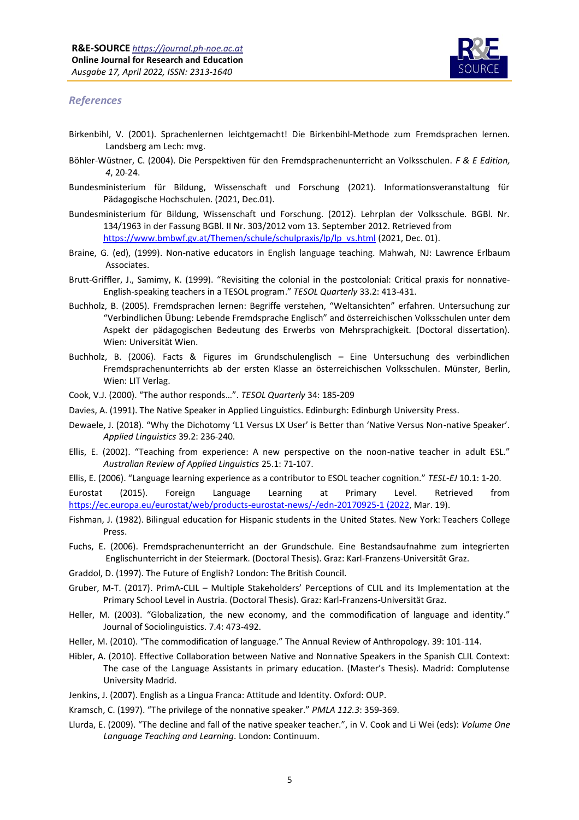

#### *References*

- Birkenbihl, V. (2001). Sprachenlernen leichtgemacht! Die Birkenbihl-Methode zum Fremdsprachen lernen*.* Landsberg am Lech: mvg.
- Böhler-Wüstner, C. (2004). Die Perspektiven für den Fremdsprachenunterricht an Volksschulen. *F & E Edition, 4*, 20-24.
- Bundesministerium für Bildung, Wissenschaft und Forschung (2021). Informationsveranstaltung für Pädagogische Hochschulen. (2021, Dec.01).
- Bundesministerium für Bildung, Wissenschaft und Forschung. (2012). Lehrplan der Volksschule. BGBl. Nr. 134/1963 in der Fassung BGBl. II Nr. 303/2012 vom 13. September 2012. Retrieved from [https://www.bmbwf.gv.at/Themen/schule/schulpraxis/lp/lp\\_vs.html](https://www.bmbwf.gv.at/Themen/schule/schulpraxis/lp/lp_vs.html) (2021, Dec. 01).
- Braine, G. (ed), (1999). Non-native educators in English language teaching. Mahwah, NJ: Lawrence Erlbaum Associates.
- Brutt-Griffler, J., Samimy, K. (1999). "[Revisiting the colonial in the postcolonial: Critical praxis for nonna](javascript:void(0))tive-[English‐speaking teachers in a TESOL program.](javascript:void(0))" *TESOL Quarterly* 33.2: 413-431.
- Buchholz, B. (2005). Fremdsprachen lernen: Begriffe verstehen, "Weltansichten" erfahren. Untersuchung zur "Verbindlichen Übung: Lebende Fremdsprache Englisch" and österreichischen Volksschulen unter dem Aspekt der pädagogischen Bedeutung des Erwerbs von Mehrsprachigkeit. (Doctoral dissertation). Wien: Universität Wien.
- Buchholz, B. (2006). Facts & Figures im Grundschulenglisch Eine Untersuchung des verbindlichen Fremdsprachenunterrichts ab der ersten Klasse an österreichischen Volksschulen. Münster, Berlin, Wien: LIT Verlag.
- Cook, V.J. (2000). "The author responds…". *TESOL Quarterly* 34: 185-209
- Davies, A. (1991). The Native Speaker in Applied Linguistics. Edinburgh: Edinburgh University Press.
- Dewaele, J. (2018). "Why the Dichotomy 'L1 Versus LX User' is Better than 'Native Versus Non-native Speaker'. *Applied Linguistics* 39.2: 236-240.
- Ellis, E. (2002). "Teaching from experience: A new perspective on the noon-native teacher in adult ESL." *Australian Review of Applied Linguistics* 25.1: 71-107.
- Ellis, E. (2006). "Language learning experience as a contributor to ESOL teacher cognition." *TESL-EJ* 10.1: 1-20.

Eurostat (2015). Foreign Language Learning at Primary Level. Retrieved from [https://ec.europa.eu/eurostat/web/products-eurostat-news/-/edn-20170925-1 \(2022,](https://ec.europa.eu/eurostat/web/products-eurostat-news/-/edn-20170925-1%20(2022) Mar. 19).

- Fishman, J. (1982). Bilingual education for Hispanic students in the United States*.* New York: [Teachers College](https://en.wikipedia.org/wiki/Teachers_College_Press)  **Press**
- Fuchs, E. (2006). Fremdsprachenunterricht an der Grundschule. Eine Bestandsaufnahme zum integrierten Englischunterricht in der Steiermark. (Doctoral Thesis). Graz: Karl-Franzens-Universität Graz.
- Graddol, D. (1997). The Future of English? London: The British Council.
- Gruber, M-T. (2017). PrimA-CLIL Multiple Stakeholders' Perceptions of CLIL and its Implementation at the Primary School Level in Austria. (Doctoral Thesis). Graz: Karl-Franzens-Universität Graz.
- Heller, M. (2003). "Globalization, the new economy, and the commodification of language and identity." Journal of Sociolinguistics. 7.4: 473-492.
- Heller, M. (2010). "The commodification of language." The Annual Review of Anthropology. 39: 101-114.
- Hibler, A. (2010). Effective Collaboration between Native and Nonnative Speakers in the Spanish CLIL Context: The case of the Language Assistants in primary education. (Master's Thesis). Madrid: Complutense University Madrid.
- Jenkins, J. (2007). English as a Lingua Franca: Attitude and Identity. Oxford: OUP.
- Kramsch, C. (1997). "The privilege of the nonnative speaker." *PMLA 112.3*: 359-369.
- Llurda, E. (2009). "The decline and fall of the native speaker teacher.", in V. Cook and Li Wei (eds): *Volume One Language Teaching and Learning.* London: Continuum.